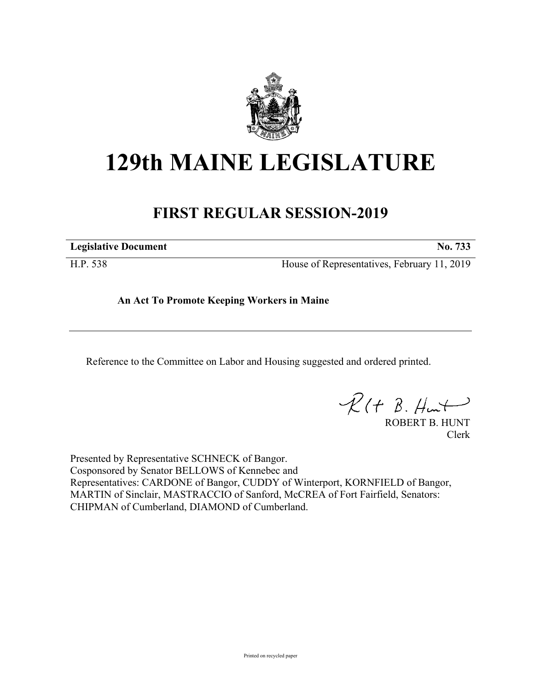

## **129th MAINE LEGISLATURE**

## **FIRST REGULAR SESSION-2019**

**Legislative Document No. 733**

H.P. 538 House of Representatives, February 11, 2019

**An Act To Promote Keeping Workers in Maine**

Reference to the Committee on Labor and Housing suggested and ordered printed.

 $R(H B. H<sub>un</sub>+)$ 

ROBERT B. HUNT Clerk

Presented by Representative SCHNECK of Bangor. Cosponsored by Senator BELLOWS of Kennebec and Representatives: CARDONE of Bangor, CUDDY of Winterport, KORNFIELD of Bangor, MARTIN of Sinclair, MASTRACCIO of Sanford, McCREA of Fort Fairfield, Senators: CHIPMAN of Cumberland, DIAMOND of Cumberland.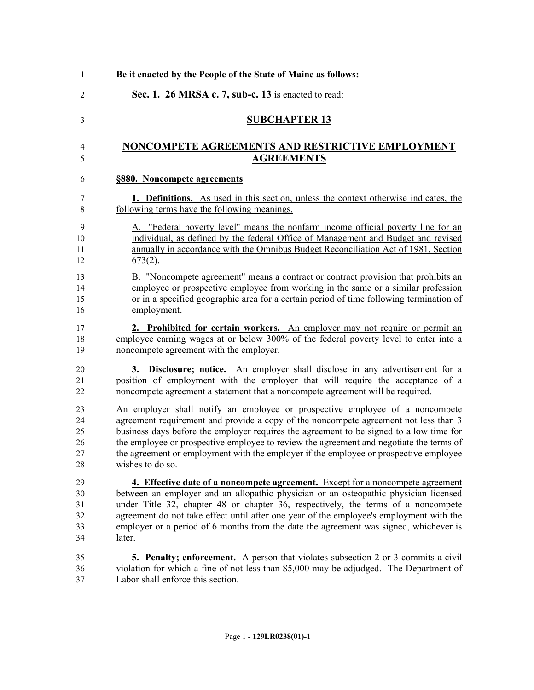| Be it enacted by the People of the State of Maine as follows:                                                                                                                                                                                                                                                                                                                                                                                                           |
|-------------------------------------------------------------------------------------------------------------------------------------------------------------------------------------------------------------------------------------------------------------------------------------------------------------------------------------------------------------------------------------------------------------------------------------------------------------------------|
| Sec. 1. 26 MRSA c. 7, sub-c. 13 is enacted to read:                                                                                                                                                                                                                                                                                                                                                                                                                     |
| <b>SUBCHAPTER 13</b>                                                                                                                                                                                                                                                                                                                                                                                                                                                    |
| NONCOMPETE AGREEMENTS AND RESTRICTIVE EMPLOYMENT<br><b>AGREEMENTS</b>                                                                                                                                                                                                                                                                                                                                                                                                   |
|                                                                                                                                                                                                                                                                                                                                                                                                                                                                         |
| §880. Noncompete agreements                                                                                                                                                                                                                                                                                                                                                                                                                                             |
| <b>1. Definitions.</b> As used in this section, unless the context otherwise indicates, the<br>following terms have the following meanings.                                                                                                                                                                                                                                                                                                                             |
| A. "Federal poverty level" means the nonfarm income official poverty line for an<br>individual, as defined by the federal Office of Management and Budget and revised<br>annually in accordance with the Omnibus Budget Reconciliation Act of 1981, Section<br>$673(2)$ .                                                                                                                                                                                               |
| B. "Noncompete agreement" means a contract or contract provision that prohibits an<br>employee or prospective employee from working in the same or a similar profession<br>or in a specified geographic area for a certain period of time following termination of<br>employment.                                                                                                                                                                                       |
| 2. Prohibited for certain workers. An employer may not require or permit an<br>employee earning wages at or below 300% of the federal poverty level to enter into a<br>noncompete agreement with the employer.                                                                                                                                                                                                                                                          |
| <b>Disclosure; notice.</b> An employer shall disclose in any advertisement for a<br>3.<br>position of employment with the employer that will require the acceptance of a<br>noncompete agreement a statement that a noncompete agreement will be required.                                                                                                                                                                                                              |
| An employer shall notify an employee or prospective employee of a noncompete<br>agreement requirement and provide a copy of the noncompete agreement not less than 3<br>business days before the employer requires the agreement to be signed to allow time for<br>the employee or prospective employee to review the agreement and negotiate the terms of<br>the agreement or employment with the employer if the employee or prospective employee<br>wishes to do so. |
| 4. Effective date of a noncompete agreement. Except for a noncompete agreement                                                                                                                                                                                                                                                                                                                                                                                          |
| between an employer and an allopathic physician or an osteopathic physician licensed                                                                                                                                                                                                                                                                                                                                                                                    |
| under Title 32, chapter 48 or chapter 36, respectively, the terms of a noncompete                                                                                                                                                                                                                                                                                                                                                                                       |
| agreement do not take effect until after one year of the employee's employment with the<br>employer or a period of 6 months from the date the agreement was signed, whichever is                                                                                                                                                                                                                                                                                        |
| later.                                                                                                                                                                                                                                                                                                                                                                                                                                                                  |
| <b>5. Penalty; enforcement.</b> A person that violates subsection 2 or 3 commits a civil                                                                                                                                                                                                                                                                                                                                                                                |
| violation for which a fine of not less than \$5,000 may be adjudged. The Department of                                                                                                                                                                                                                                                                                                                                                                                  |
| Labor shall enforce this section.                                                                                                                                                                                                                                                                                                                                                                                                                                       |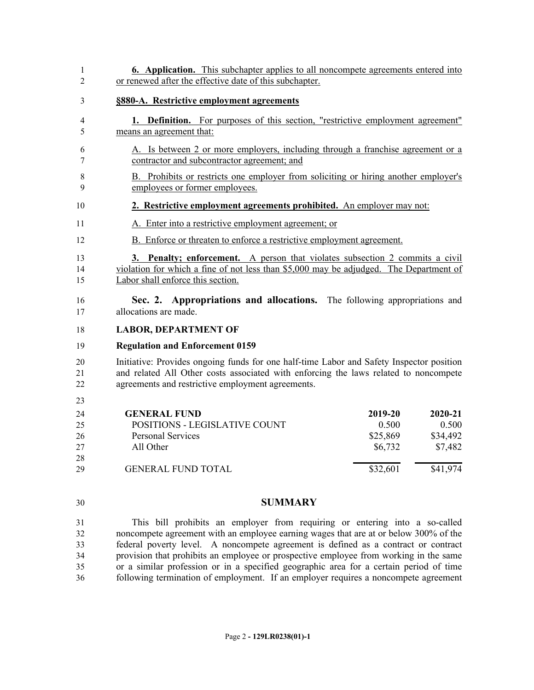| 1<br>$\overline{2}$        | <b>6. Application.</b> This subchapter applies to all noncompete agreements entered into<br>or renewed after the effective date of this subchapter.                                                                                   |                                         |                                         |  |
|----------------------------|---------------------------------------------------------------------------------------------------------------------------------------------------------------------------------------------------------------------------------------|-----------------------------------------|-----------------------------------------|--|
| 3                          | §880-A. Restrictive employment agreements                                                                                                                                                                                             |                                         |                                         |  |
| 4<br>5                     | <b>1. Definition.</b> For purposes of this section, "restrictive employment agreement"<br>means an agreement that:                                                                                                                    |                                         |                                         |  |
| 6<br>7                     | A. Is between 2 or more employers, including through a franchise agreement or a<br>contractor and subcontractor agreement; and                                                                                                        |                                         |                                         |  |
| 8<br>9                     | B. Prohibits or restricts one employer from soliciting or hiring another employer's<br>employees or former employees.                                                                                                                 |                                         |                                         |  |
| 10                         | 2. Restrictive employment agreements prohibited. An employer may not:                                                                                                                                                                 |                                         |                                         |  |
| 11                         | A. Enter into a restrictive employment agreement; or                                                                                                                                                                                  |                                         |                                         |  |
| 12                         | B. Enforce or threaten to enforce a restrictive employment agreement.                                                                                                                                                                 |                                         |                                         |  |
| 13<br>14<br>15             | 3. Penalty; enforcement. A person that violates subsection 2 commits a civil<br>violation for which a fine of not less than \$5,000 may be adjudged. The Department of<br>Labor shall enforce this section.                           |                                         |                                         |  |
| 16<br>17                   | Sec. 2. Appropriations and allocations. The following appropriations and<br>allocations are made.                                                                                                                                     |                                         |                                         |  |
| 18                         | <b>LABOR, DEPARTMENT OF</b>                                                                                                                                                                                                           |                                         |                                         |  |
| 19                         | <b>Regulation and Enforcement 0159</b>                                                                                                                                                                                                |                                         |                                         |  |
| 20<br>21<br>22             | Initiative: Provides ongoing funds for one half-time Labor and Safety Inspector position<br>and related All Other costs associated with enforcing the laws related to noncompete<br>agreements and restrictive employment agreements. |                                         |                                         |  |
| 23                         |                                                                                                                                                                                                                                       |                                         |                                         |  |
| 24<br>25<br>26<br>27<br>28 | <b>GENERAL FUND</b><br>POSITIONS - LEGISLATIVE COUNT<br><b>Personal Services</b><br>All Other                                                                                                                                         | 2019-20<br>0.500<br>\$25,869<br>\$6,732 | 2020-21<br>0.500<br>\$34,492<br>\$7,482 |  |
| 29                         | <b>GENERAL FUND TOTAL</b>                                                                                                                                                                                                             | $\sqrt{$32,601}$                        | \$41,974                                |  |
|                            |                                                                                                                                                                                                                                       |                                         |                                         |  |
| 30                         | <b>SUMMARY</b>                                                                                                                                                                                                                        |                                         |                                         |  |
| 31                         | This bill prohibits an employer from requiring or entering into a so-called                                                                                                                                                           |                                         |                                         |  |

 noncompete agreement with an employee earning wages that are at or below 300% of the federal poverty level. A noncompete agreement is defined as a contract or contract provision that prohibits an employee or prospective employee from working in the same or a similar profession or in a specified geographic area for a certain period of time 36 following termination of employment. If an employer requires a noncompete agreement